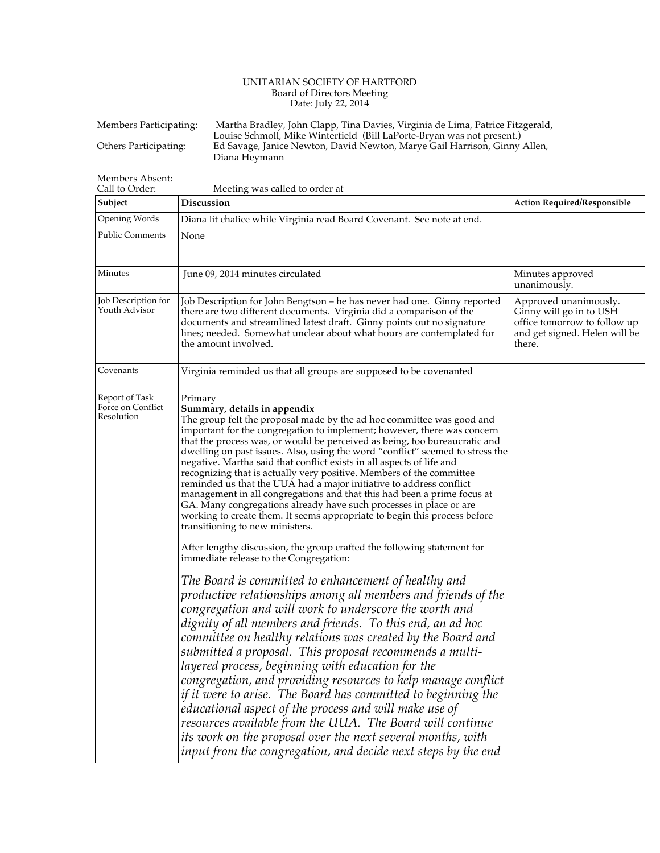## UNITARIAN SOCIETY OF HARTFORD Board of Directors Meeting Date: July 22, 2014

| Members Participating: | Martha Bradley, John Clapp, Tina Davies, Virginia de Lima, Patrice Fitzgerald, |
|------------------------|--------------------------------------------------------------------------------|
|                        | Louise Schmoll, Mike Winterfield (Bill LaPorte-Bryan was not present.)         |
| Others Participating:  | Ed Savage, Janice Newton, David Newton, Marye Gail Harrison, Ginny Allen,      |
|                        | Diana Hevmann                                                                  |

Members Absent:

| Call to Order:<br>Subject                         | Meeting was called to order at<br>Discussion                                                                                                                                                                                                                                                                                                                                                                                                                                                                                                                                                                                                                                                                                                                                                                                                                                                                                                                                                                                                                                                                                                                                                                                                                                                                                                                                                                                                                                                                                                                                                                                                                                                                                                                                                      | <b>Action Required/Responsible</b>                                                                                          |
|---------------------------------------------------|---------------------------------------------------------------------------------------------------------------------------------------------------------------------------------------------------------------------------------------------------------------------------------------------------------------------------------------------------------------------------------------------------------------------------------------------------------------------------------------------------------------------------------------------------------------------------------------------------------------------------------------------------------------------------------------------------------------------------------------------------------------------------------------------------------------------------------------------------------------------------------------------------------------------------------------------------------------------------------------------------------------------------------------------------------------------------------------------------------------------------------------------------------------------------------------------------------------------------------------------------------------------------------------------------------------------------------------------------------------------------------------------------------------------------------------------------------------------------------------------------------------------------------------------------------------------------------------------------------------------------------------------------------------------------------------------------------------------------------------------------------------------------------------------------|-----------------------------------------------------------------------------------------------------------------------------|
| Opening Words                                     | Diana lit chalice while Virginia read Board Covenant. See note at end.                                                                                                                                                                                                                                                                                                                                                                                                                                                                                                                                                                                                                                                                                                                                                                                                                                                                                                                                                                                                                                                                                                                                                                                                                                                                                                                                                                                                                                                                                                                                                                                                                                                                                                                            |                                                                                                                             |
| <b>Public Comments</b>                            | None                                                                                                                                                                                                                                                                                                                                                                                                                                                                                                                                                                                                                                                                                                                                                                                                                                                                                                                                                                                                                                                                                                                                                                                                                                                                                                                                                                                                                                                                                                                                                                                                                                                                                                                                                                                              |                                                                                                                             |
| Minutes                                           | June 09, 2014 minutes circulated                                                                                                                                                                                                                                                                                                                                                                                                                                                                                                                                                                                                                                                                                                                                                                                                                                                                                                                                                                                                                                                                                                                                                                                                                                                                                                                                                                                                                                                                                                                                                                                                                                                                                                                                                                  | Minutes approved<br>unanimously.                                                                                            |
| Job Description for<br>Youth Advisor              | Job Description for John Bengtson – he has never had one. Ginny reported<br>there are two different documents. Virginia did a comparison of the<br>documents and streamlined latest draft. Ginny points out no signature<br>lines; needed. Somewhat unclear about what hours are contemplated for<br>the amount involved.                                                                                                                                                                                                                                                                                                                                                                                                                                                                                                                                                                                                                                                                                                                                                                                                                                                                                                                                                                                                                                                                                                                                                                                                                                                                                                                                                                                                                                                                         | Approved unanimously.<br>Ginny will go in to USH<br>office tomorrow to follow up<br>and get signed. Helen will be<br>there. |
| Covenants                                         | Virginia reminded us that all groups are supposed to be covenanted                                                                                                                                                                                                                                                                                                                                                                                                                                                                                                                                                                                                                                                                                                                                                                                                                                                                                                                                                                                                                                                                                                                                                                                                                                                                                                                                                                                                                                                                                                                                                                                                                                                                                                                                |                                                                                                                             |
| Report of Task<br>Force on Conflict<br>Resolution | Primary<br>Summary, details in appendix<br>The group felt the proposal made by the ad hoc committee was good and<br>important for the congregation to implement; however, there was concern<br>that the process was, or would be perceived as being, too bureaucratic and<br>dwelling on past issues. Also, using the word "conflict" seemed to stress the<br>negative. Martha said that conflict exists in all aspects of life and<br>recognizing that is actually very positive. Members of the committee<br>reminded us that the UUA had a major initiative to address conflict<br>management in all congregations and that this had been a prime focus at<br>GA. Many congregations already have such processes in place or are<br>working to create them. It seems appropriate to begin this process before<br>transitioning to new ministers.<br>After lengthy discussion, the group crafted the following statement for<br>immediate release to the Congregation:<br>The Board is committed to enhancement of healthy and<br>productive relationships among all members and friends of the<br>congregation and will work to underscore the worth and<br>dignity of all members and friends. To this end, an ad hoc<br>committee on healthy relations was created by the Board and<br>submitted a proposal. This proposal recommends a multi-<br>layered process, beginning with education for the<br>congregation, and providing resources to help manage conflict<br>if it were to arise. The Board has committed to beginning the<br>educational aspect of the process and will make use of<br>resources available from the UUA. The Board will continue<br>its work on the proposal over the next several months, with<br>input from the congregation, and decide next steps by the end |                                                                                                                             |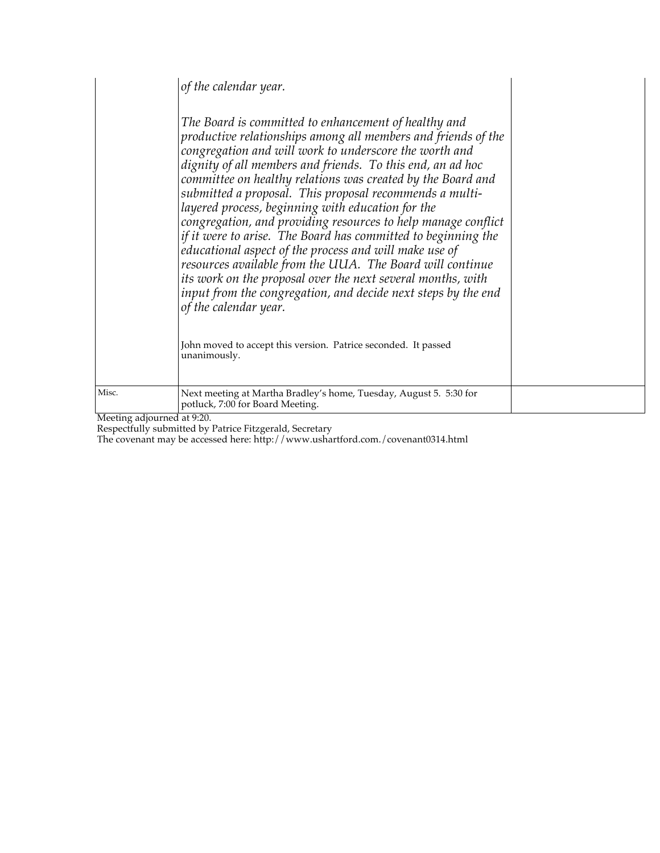|       | of the calendar year.<br>The Board is committed to enhancement of healthy and<br>productive relationships among all members and friends of the<br>congregation and will work to underscore the worth and<br>dignity of all members and friends. To this end, an ad hoc<br>committee on healthy relations was created by the Board and<br>submitted a proposal. This proposal recommends a multi-<br>layered process, beginning with education for the<br>congregation, and providing resources to help manage conflict<br>if it were to arise. The Board has committed to beginning the<br>educational aspect of the process and will make use of<br>resources available from the UUA. The Board will continue<br>its work on the proposal over the next several months, with<br>input from the congregation, and decide next steps by the end<br>of the calendar year.<br>John moved to accept this version. Patrice seconded. It passed<br>unanimously. |  |
|-------|-----------------------------------------------------------------------------------------------------------------------------------------------------------------------------------------------------------------------------------------------------------------------------------------------------------------------------------------------------------------------------------------------------------------------------------------------------------------------------------------------------------------------------------------------------------------------------------------------------------------------------------------------------------------------------------------------------------------------------------------------------------------------------------------------------------------------------------------------------------------------------------------------------------------------------------------------------------|--|
| Misc. | Next meeting at Martha Bradley's home, Tuesday, August 5. 5:30 for<br>potluck, 7:00 for Board Meeting.                                                                                                                                                                                                                                                                                                                                                                                                                                                                                                                                                                                                                                                                                                                                                                                                                                                    |  |

Meeting adjourned at 9:20.

Respectfully submitted by Patrice Fitzgerald, Secretary

The covenant may be accessed here: http://www.ushartford.com./covenant0314.html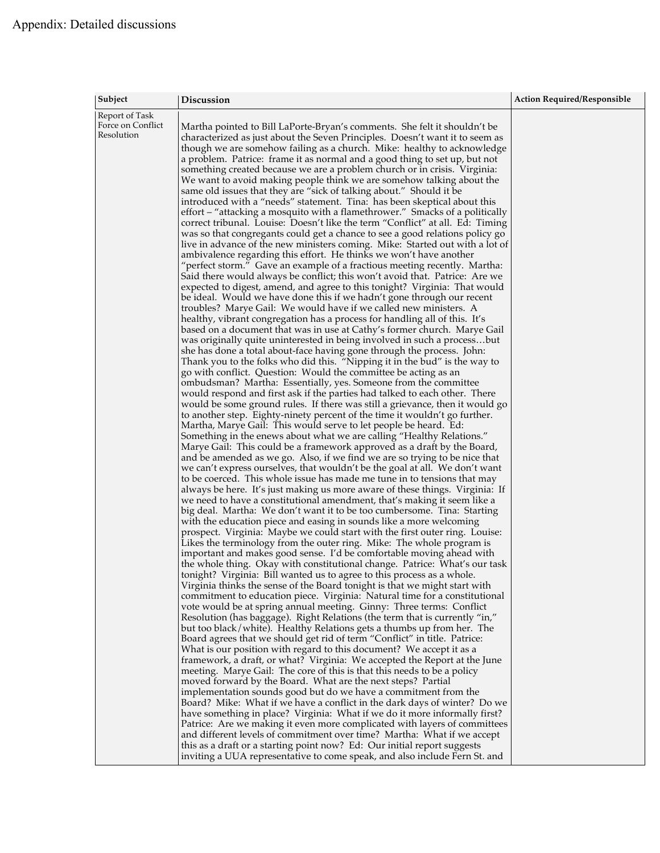| Subject                                           | Discussion                                                                                                                                                                                                                                                                                                                                                                                                                                                                                                                                                                                                                                                                                                                                                                                                                                                                                                                                                                                                                                                                                                                                                                                                                                                                                                                                                                                                                                                                                                                                                                                                                                                                                                                                                                                                                                                                                                                                                                                                                                                                                                                                                                                                                                                                                                                                                                                                                                                                                                                                                                                                                                                                                                                                                                                                                                                                                                                                                                                                                                                                                                                                                                                                                                                                                                                                                                                                                                                                                                                                                                                                                                                                                                                                                                                                                                                                                                                                                                                                                                                                                                                                                                                                                                                                                                                                                                                                                                                                                                                                                                                                                                                                                                   | <b>Action Required/Responsible</b> |
|---------------------------------------------------|--------------------------------------------------------------------------------------------------------------------------------------------------------------------------------------------------------------------------------------------------------------------------------------------------------------------------------------------------------------------------------------------------------------------------------------------------------------------------------------------------------------------------------------------------------------------------------------------------------------------------------------------------------------------------------------------------------------------------------------------------------------------------------------------------------------------------------------------------------------------------------------------------------------------------------------------------------------------------------------------------------------------------------------------------------------------------------------------------------------------------------------------------------------------------------------------------------------------------------------------------------------------------------------------------------------------------------------------------------------------------------------------------------------------------------------------------------------------------------------------------------------------------------------------------------------------------------------------------------------------------------------------------------------------------------------------------------------------------------------------------------------------------------------------------------------------------------------------------------------------------------------------------------------------------------------------------------------------------------------------------------------------------------------------------------------------------------------------------------------------------------------------------------------------------------------------------------------------------------------------------------------------------------------------------------------------------------------------------------------------------------------------------------------------------------------------------------------------------------------------------------------------------------------------------------------------------------------------------------------------------------------------------------------------------------------------------------------------------------------------------------------------------------------------------------------------------------------------------------------------------------------------------------------------------------------------------------------------------------------------------------------------------------------------------------------------------------------------------------------------------------------------------------------------------------------------------------------------------------------------------------------------------------------------------------------------------------------------------------------------------------------------------------------------------------------------------------------------------------------------------------------------------------------------------------------------------------------------------------------------------------------------------------------------------------------------------------------------------------------------------------------------------------------------------------------------------------------------------------------------------------------------------------------------------------------------------------------------------------------------------------------------------------------------------------------------------------------------------------------------------------------------------------------------------------------------------------------------------------------------------------------------------------------------------------------------------------------------------------------------------------------------------------------------------------------------------------------------------------------------------------------------------------------------------------------------------------------------------------------------------------------------------------------------------------------------------------------|------------------------------------|
| Report of Task<br>Force on Conflict<br>Resolution | Martha pointed to Bill LaPorte-Bryan's comments. She felt it shouldn't be<br>characterized as just about the Seven Principles. Doesn't want it to seem as<br>though we are somehow failing as a church. Mike: healthy to acknowledge<br>a problem. Patrice: frame it as normal and a good thing to set up, but not<br>something created because we are a problem church or in crisis. Virginia:<br>We want to avoid making people think we are somehow talking about the<br>same old issues that they are "sick of talking about." Should it be<br>introduced with a "needs" statement. Tina: has been skeptical about this<br>effort - "attacking a mosquito with a flamethrower." Smacks of a politically<br>correct tribunal. Louise: Doesn't like the term "Conflict" at all. Ed: Timing<br>was so that congregants could get a chance to see a good relations policy go<br>live in advance of the new ministers coming. Mike: Started out with a lot of<br>ambivalence regarding this effort. He thinks we won't have another<br>"perfect storm." Gave an example of a fractious meeting recently. Martha:<br>Said there would always be conflict; this won't avoid that. Patrice: Are we<br>expected to digest, amend, and agree to this tonight? Virginia: That would<br>be ideal. Would we have done this if we hadn't gone through our recent<br>troubles? Marye Gail: We would have if we called new ministers. A<br>healthy, vibrant congregation has a process for handling all of this. It's<br>based on a document that was in use at Cathy's former church. Marye Gail<br>was originally quite uninterested in being involved in such a processbut<br>she has done a total about-face having gone through the process. John:<br>Thank you to the folks who did this. "Nipping it in the bud" is the way to<br>go with conflict. Question: Would the committee be acting as an<br>ombudsman? Martha: Essentially, yes. Someone from the committee<br>would respond and first ask if the parties had talked to each other. There<br>would be some ground rules. If there was still a grievance, then it would go<br>to another step. Eighty-ninety percent of the time it wouldn't go further.<br>Martha, Marye Gail: This would serve to let people be heard. Ed:<br>Something in the enews about what we are calling "Healthy Relations."<br>Marye Gail: This could be a framework approved as a draft by the Board,<br>and be amended as we go. Also, if we find we are so trying to be nice that<br>we can't express ourselves, that wouldn't be the goal at all. We don't want<br>to be coerced. This whole issue has made me tune in to tensions that may<br>always be here. It's just making us more aware of these things. Virginia: If<br>we need to have a constitutional amendment, that's making it seem like a<br>big deal. Martha: We don't want it to be too cumbersome. Tina: Starting<br>with the education piece and easing in sounds like a more welcoming<br>prospect. Virginia: Maybe we could start with the first outer ring. Louise:<br>Likes the terminology from the outer ring. Mike: The whole program is<br>important and makes good sense. I'd be comfortable moving ahead with<br>the whole thing. Okay with constitutional change. Patrice: What's our task<br>tonight? Virginia: Bill wanted us to agree to this process as a whole.<br>Virginia thinks the sense of the Board tonight is that we might start with<br>commitment to education piece. Virginia: Natural time for a constitutional<br>vote would be at spring annual meeting. Ginny: Three terms: Conflict<br>Resolution (has baggage). Right Relations (the term that is currently "in,"<br>but too black/white). Healthy Relations gets a thumbs up from her. The<br>Board agrees that we should get rid of term "Conflict" in title. Patrice:<br>What is our position with regard to this document? We accept it as a<br>framework, a draft, or what? Virginia: We accepted the Report at the June<br>meeting. Marye Gail: The core of this is that this needs to be a policy<br>moved forward by the Board. What are the next steps? Partial<br>implementation sounds good but do we have a commitment from the<br>Board? Mike: What if we have a conflict in the dark days of winter? Do we<br>have something in place? Virginia: What if we do it more informally first?<br>Patrice: Are we making it even more complicated with layers of committees<br>and different levels of commitment over time? Martha: What if we accept<br>this as a draft or a starting point now? Ed: Our initial report suggests<br>inviting a UUA representative to come speak, and also include Fern St. and |                                    |